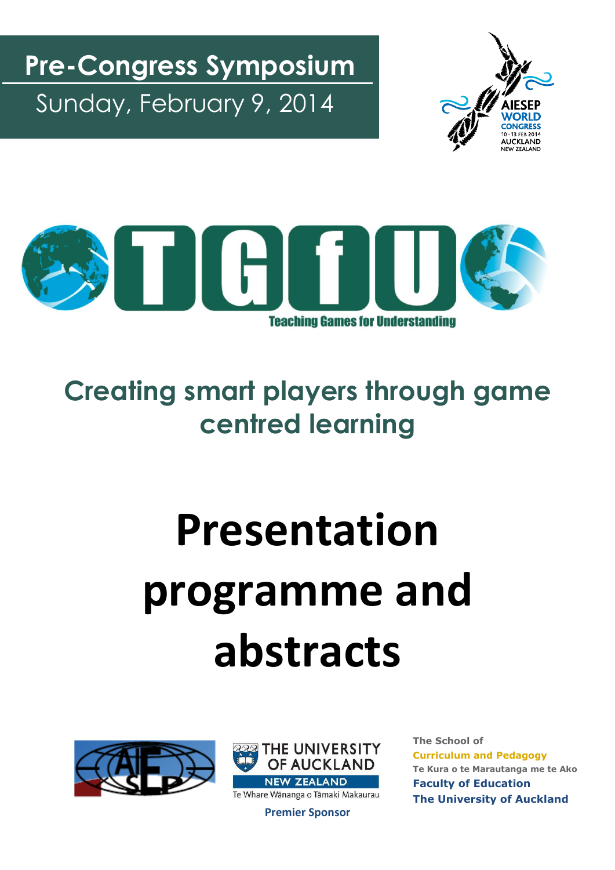Sunday, February 9, 2014 **Pre-Congress Symposium**





## **Creating smart players through game centred learning**

# **Presentation programme and abstracts**





**Premier Sponsor**

**The School of Curriculum and Pedagogy Te Kura o te Marautanga me te Ako Faculty of Education The University of Auckland**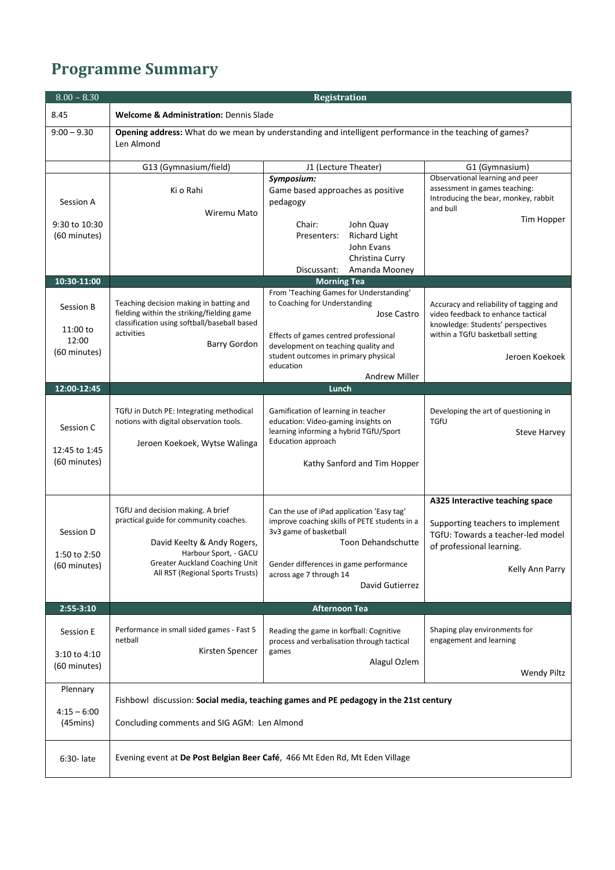### **Programme Summary**

| $8.00 - 8.30$                                   |                                                                                                                                                                                                                  | <b>Registration</b>                                                                                                                                                                                                                                         |                                                                                                                                                                          |
|-------------------------------------------------|------------------------------------------------------------------------------------------------------------------------------------------------------------------------------------------------------------------|-------------------------------------------------------------------------------------------------------------------------------------------------------------------------------------------------------------------------------------------------------------|--------------------------------------------------------------------------------------------------------------------------------------------------------------------------|
| 8.45                                            | <b>Welcome &amp; Administration: Dennis Slade</b>                                                                                                                                                                |                                                                                                                                                                                                                                                             |                                                                                                                                                                          |
| $9:00 - 9.30$                                   | Len Almond                                                                                                                                                                                                       | Opening address: What do we mean by understanding and intelligent performance in the teaching of games?                                                                                                                                                     |                                                                                                                                                                          |
|                                                 | G13 (Gymnasium/field)                                                                                                                                                                                            | J1 (Lecture Theater)                                                                                                                                                                                                                                        | G1 (Gymnasium)                                                                                                                                                           |
| Session A                                       | Ki o Rahi<br>Wiremu Mato                                                                                                                                                                                         | Symposium:<br>Game based approaches as positive<br>pedagogy                                                                                                                                                                                                 | Observational learning and peer<br>assessment in games teaching:<br>Introducing the bear, monkey, rabbit<br>and bull                                                     |
| 9:30 to 10:30                                   |                                                                                                                                                                                                                  | Chair:<br>John Quay                                                                                                                                                                                                                                         | Tim Hopper                                                                                                                                                               |
| (60 minutes)                                    |                                                                                                                                                                                                                  | Presenters:<br><b>Richard Light</b><br>John Evans<br>Christina Curry<br>Amanda Mooney<br>Discussant:                                                                                                                                                        |                                                                                                                                                                          |
| 10:30-11:00                                     |                                                                                                                                                                                                                  | <b>Morning Tea</b>                                                                                                                                                                                                                                          |                                                                                                                                                                          |
| Session B<br>11:00 to<br>12:00<br>(60 minutes)  | Teaching decision making in batting and<br>fielding within the striking/fielding game<br>classification using softball/baseball based<br>activities<br><b>Barry Gordon</b>                                       | From 'Teaching Games for Understanding'<br>to Coaching for Understanding<br><b>Jose Castro</b><br>Effects of games centred professional<br>development on teaching quality and<br>student outcomes in primary physical<br>education<br><b>Andrew Miller</b> | Accuracy and reliability of tagging and<br>video feedback to enhance tactical<br>knowledge: Students' perspectives<br>within a TGfU basketball setting<br>Jeroen Koekoek |
| 12:00-12:45                                     |                                                                                                                                                                                                                  | Lunch                                                                                                                                                                                                                                                       |                                                                                                                                                                          |
| Session C<br>12:45 to 1:45<br>(60 minutes)      | TGfU in Dutch PE: Integrating methodical<br>notions with digital observation tools.<br>Jeroen Koekoek, Wytse Walinga                                                                                             | Gamification of learning in teacher<br>education: Video-gaming insights on<br>learning informing a hybrid TGfU/Sport<br>Education approach<br>Kathy Sanford and Tim Hopper                                                                                  | Developing the art of questioning in<br>TGfU<br>Steve Harvey                                                                                                             |
| Session D<br>1:50 to 2:50<br>(60 minutes)       | TGfU and decision making. A brief<br>practical guide for community coaches.<br>David Keelty & Andy Rogers,<br>Harbour Sport, - GACU<br><b>Greater Auckland Coaching Unit</b><br>All RST (Regional Sports Trusts) | Can the use of iPad application 'Easy tag'<br>improve coaching skills of PETE students in a<br>3v3 game of basketball<br>Toon Dehandschutte<br>Gender differences in game performance<br>across age 7 through 14<br>David Gutierrez                         | A325 Interactive teaching space<br>Supporting teachers to implement<br>TGfU: Towards a teacher-led model<br>of professional learning.<br>Kelly Ann Parry                 |
| $2:55-3:10$                                     |                                                                                                                                                                                                                  | <b>Afternoon Tea</b>                                                                                                                                                                                                                                        |                                                                                                                                                                          |
| Session E<br>3:10 to 4:10<br>(60 minutes)       | Performance in small sided games - Fast 5<br>netball<br>Kirsten Spencer                                                                                                                                          | Reading the game in korfball: Cognitive<br>process and verbalisation through tactical<br>games<br>Alagul Ozlem                                                                                                                                              | Shaping play environments for<br>engagement and learning<br>Wendy Piltz                                                                                                  |
| Plennary<br>$4:15 - 6:00$<br>$(45 \text{mins})$ | Concluding comments and SIG AGM: Len Almond                                                                                                                                                                      | Fishbowl discussion: Social media, teaching games and PE pedagogy in the 21st century                                                                                                                                                                       |                                                                                                                                                                          |
| 6:30- late                                      | Evening event at De Post Belgian Beer Café, 466 Mt Eden Rd, Mt Eden Village                                                                                                                                      |                                                                                                                                                                                                                                                             |                                                                                                                                                                          |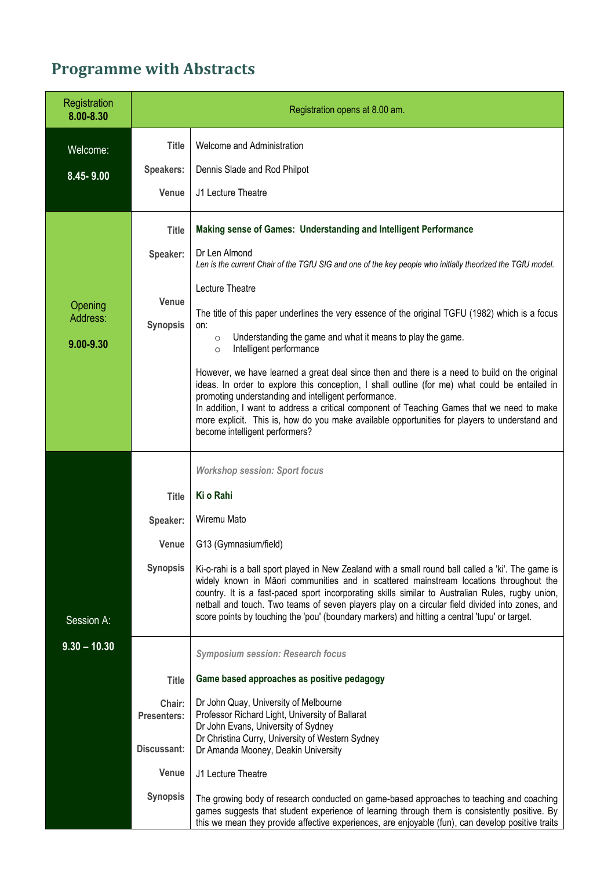### **Programme with Abstracts**

| Registration<br>8.00-8.30        | Registration opens at 8.00 am.              |                                                                                                                                                                                                                                                                                                                                                                                                                                                                                                     |
|----------------------------------|---------------------------------------------|-----------------------------------------------------------------------------------------------------------------------------------------------------------------------------------------------------------------------------------------------------------------------------------------------------------------------------------------------------------------------------------------------------------------------------------------------------------------------------------------------------|
| Welcome:                         | <b>Title</b>                                | Welcome and Administration                                                                                                                                                                                                                                                                                                                                                                                                                                                                          |
| 8.45-9.00                        | <b>Speakers:</b>                            | Dennis Slade and Rod Philpot                                                                                                                                                                                                                                                                                                                                                                                                                                                                        |
|                                  | Venue                                       | J1 Lecture Theatre                                                                                                                                                                                                                                                                                                                                                                                                                                                                                  |
|                                  | <b>Title</b><br>Speaker:<br>Venue           | Making sense of Games: Understanding and Intelligent Performance<br>Dr Len Almond<br>Len is the current Chair of the TGfU SIG and one of the key people who initially theorized the TGfU model.<br>Lecture Theatre                                                                                                                                                                                                                                                                                  |
| Opening<br>Address:<br>9.00-9.30 | <b>Synopsis</b>                             | The title of this paper underlines the very essence of the original TGFU (1982) which is a focus<br>on:<br>Understanding the game and what it means to play the game.<br>$\circ$<br>Intelligent performance<br>$\circ$                                                                                                                                                                                                                                                                              |
|                                  |                                             | However, we have learned a great deal since then and there is a need to build on the original<br>ideas. In order to explore this conception, I shall outline (for me) what could be entailed in<br>promoting understanding and intelligent performance.<br>In addition, I want to address a critical component of Teaching Games that we need to make<br>more explicit. This is, how do you make available opportunities for players to understand and<br>become intelligent performers?            |
|                                  |                                             | <b>Workshop session: Sport focus</b>                                                                                                                                                                                                                                                                                                                                                                                                                                                                |
|                                  | <b>Title</b>                                | Ki o Rahi                                                                                                                                                                                                                                                                                                                                                                                                                                                                                           |
|                                  | Speaker:                                    | Wiremu Mato                                                                                                                                                                                                                                                                                                                                                                                                                                                                                         |
|                                  | <b>Venue</b>                                | G13 (Gymnasium/field)                                                                                                                                                                                                                                                                                                                                                                                                                                                                               |
| Session A:                       | <b>Synopsis</b>                             | Ki-o-rahi is a ball sport played in New Zealand with a small round ball called a 'ki'. The game is<br>widely known in Māori communities and in scattered mainstream locations throughout the<br>country. It is a fast-paced sport incorporating skills similar to Australian Rules, rugby union,<br>netball and touch. Two teams of seven players play on a circular field divided into zones, and<br>score points by touching the 'pou' (boundary markers) and hitting a central 'tupu' or target. |
| $9.30 - 10.30$                   |                                             | <b>Symposium session: Research focus</b>                                                                                                                                                                                                                                                                                                                                                                                                                                                            |
|                                  | <b>Title</b>                                | Game based approaches as positive pedagogy                                                                                                                                                                                                                                                                                                                                                                                                                                                          |
|                                  | Chair:<br><b>Presenters:</b><br>Discussant: | Dr John Quay, University of Melbourne<br>Professor Richard Light, University of Ballarat<br>Dr John Evans, University of Sydney<br>Dr Christina Curry, University of Western Sydney<br>Dr Amanda Mooney, Deakin University                                                                                                                                                                                                                                                                          |
|                                  | Venue                                       | J1 Lecture Theatre                                                                                                                                                                                                                                                                                                                                                                                                                                                                                  |
|                                  | <b>Synopsis</b>                             | The growing body of research conducted on game-based approaches to teaching and coaching<br>games suggests that student experience of learning through them is consistently positive. By<br>this we mean they provide affective experiences, are enjoyable (fun), can develop positive traits                                                                                                                                                                                                       |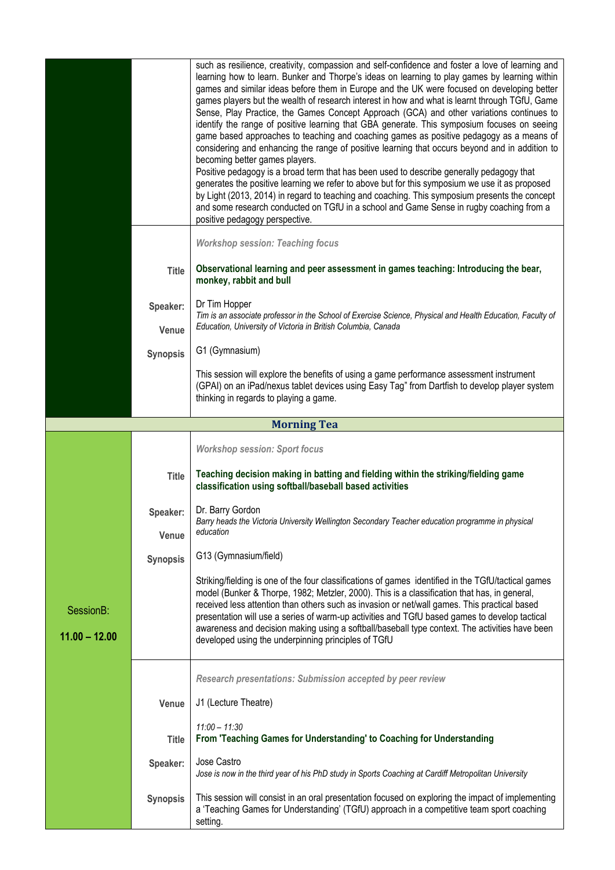|                 |                 | such as resilience, creativity, compassion and self-confidence and foster a love of learning and                                                                                                                                    |
|-----------------|-----------------|-------------------------------------------------------------------------------------------------------------------------------------------------------------------------------------------------------------------------------------|
|                 |                 | learning how to learn. Bunker and Thorpe's ideas on learning to play games by learning within<br>games and similar ideas before them in Europe and the UK were focused on developing better                                         |
|                 |                 | games players but the wealth of research interest in how and what is learnt through TGfU, Game<br>Sense, Play Practice, the Games Concept Approach (GCA) and other variations continues to                                          |
|                 |                 | identify the range of positive learning that GBA generate. This symposium focuses on seeing<br>game based approaches to teaching and coaching games as positive pedagogy as a means of                                              |
|                 |                 | considering and enhancing the range of positive learning that occurs beyond and in addition to                                                                                                                                      |
|                 |                 | becoming better games players.<br>Positive pedagogy is a broad term that has been used to describe generally pedagogy that                                                                                                          |
|                 |                 | generates the positive learning we refer to above but for this symposium we use it as proposed<br>by Light (2013, 2014) in regard to teaching and coaching. This symposium presents the concept                                     |
|                 |                 | and some research conducted on TGfU in a school and Game Sense in rugby coaching from a<br>positive pedagogy perspective.                                                                                                           |
|                 |                 | <b>Workshop session: Teaching focus</b>                                                                                                                                                                                             |
|                 | <b>Title</b>    | Observational learning and peer assessment in games teaching: Introducing the bear,<br>monkey, rabbit and bull                                                                                                                      |
|                 | Speaker:        | Dr Tim Hopper<br>Tim is an associate professor in the School of Exercise Science, Physical and Health Education, Faculty of                                                                                                         |
|                 | Venue           | Education, University of Victoria in British Columbia, Canada                                                                                                                                                                       |
|                 | <b>Synopsis</b> | G1 (Gymnasium)                                                                                                                                                                                                                      |
|                 |                 | This session will explore the benefits of using a game performance assessment instrument<br>(GPAI) on an iPad/nexus tablet devices using Easy Tag" from Dartfish to develop player system<br>thinking in regards to playing a game. |
|                 |                 | <b>Morning Tea</b>                                                                                                                                                                                                                  |
|                 |                 | <b>Workshop session: Sport focus</b>                                                                                                                                                                                                |
|                 |                 |                                                                                                                                                                                                                                     |
|                 | <b>Title</b>    | Teaching decision making in batting and fielding within the striking/fielding game<br>classification using softball/baseball based activities                                                                                       |
|                 | Speaker:        | Dr. Barry Gordon<br>Barry heads the Victoria University Wellington Secondary Teacher education programme in physical                                                                                                                |
|                 | Venue           | education                                                                                                                                                                                                                           |
|                 | <b>Synopsis</b> | G13 (Gymnasium/field)                                                                                                                                                                                                               |
|                 |                 | Striking/fielding is one of the four classifications of games identified in the TGfU/tactical games                                                                                                                                 |
| SessionB:       |                 | model (Bunker & Thorpe, 1982; Metzler, 2000). This is a classification that has, in general,<br>received less attention than others such as invasion or net/wall games. This practical based                                        |
|                 |                 | presentation will use a series of warm-up activities and TGfU based games to develop tactical<br>awareness and decision making using a softball/baseball type context. The activities have been                                     |
| $11.00 - 12.00$ |                 | developed using the underpinning principles of TGfU                                                                                                                                                                                 |
|                 |                 | Research presentations: Submission accepted by peer review                                                                                                                                                                          |
|                 |                 |                                                                                                                                                                                                                                     |
|                 |                 |                                                                                                                                                                                                                                     |
|                 | Venue           | J1 (Lecture Theatre)                                                                                                                                                                                                                |
|                 | <b>Title</b>    | $11:00 - 11:30$<br>From 'Teaching Games for Understanding' to Coaching for Understanding                                                                                                                                            |
|                 | Speaker:        | Jose Castro<br>Jose is now in the third year of his PhD study in Sports Coaching at Cardiff Metropolitan University                                                                                                                 |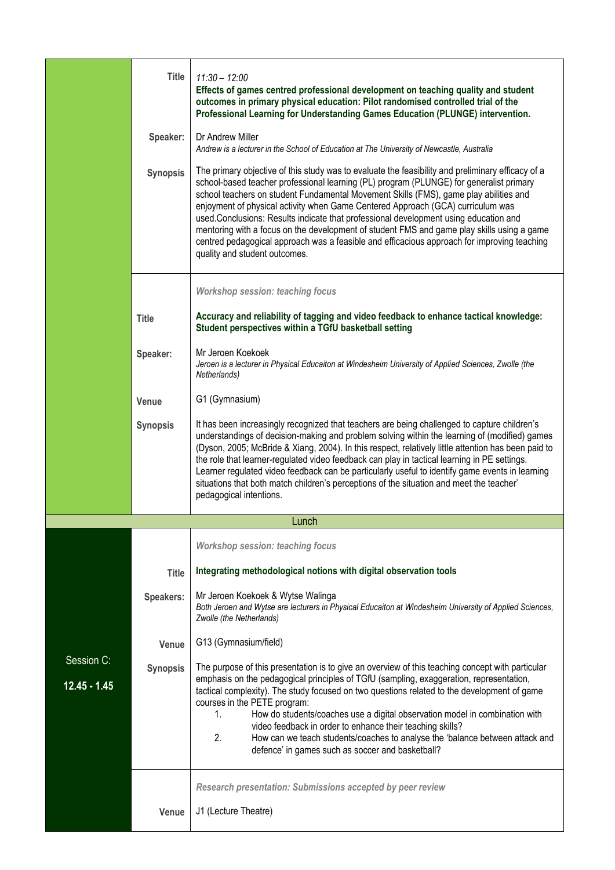|                              | <b>Title</b><br>Speaker: | $11:30 - 12:00$<br>Effects of games centred professional development on teaching quality and student<br>outcomes in primary physical education: Pilot randomised controlled trial of the<br>Professional Learning for Understanding Games Education (PLUNGE) intervention.<br>Dr Andrew Miller<br>Andrew is a lecturer in the School of Education at The University of Newcastle, Australia                                                                                                                                                                                                                                                                                                    |
|------------------------------|--------------------------|------------------------------------------------------------------------------------------------------------------------------------------------------------------------------------------------------------------------------------------------------------------------------------------------------------------------------------------------------------------------------------------------------------------------------------------------------------------------------------------------------------------------------------------------------------------------------------------------------------------------------------------------------------------------------------------------|
|                              | <b>Synopsis</b>          | The primary objective of this study was to evaluate the feasibility and preliminary efficacy of a<br>school-based teacher professional learning (PL) program (PLUNGE) for generalist primary<br>school teachers on student Fundamental Movement Skills (FMS), game play abilities and<br>enjoyment of physical activity when Game Centered Approach (GCA) curriculum was<br>used.Conclusions: Results indicate that professional development using education and<br>mentoring with a focus on the development of student FMS and game play skills using a game<br>centred pedagogical approach was a feasible and efficacious approach for improving teaching<br>quality and student outcomes. |
|                              |                          | <b>Workshop session: teaching focus</b>                                                                                                                                                                                                                                                                                                                                                                                                                                                                                                                                                                                                                                                        |
|                              | <b>Title</b>             | Accuracy and reliability of tagging and video feedback to enhance tactical knowledge:<br>Student perspectives within a TGfU basketball setting                                                                                                                                                                                                                                                                                                                                                                                                                                                                                                                                                 |
|                              | Speaker:                 | Mr Jeroen Koekoek<br>Jeroen is a lecturer in Physical Educaiton at Windesheim University of Applied Sciences, Zwolle (the<br>Netherlands)                                                                                                                                                                                                                                                                                                                                                                                                                                                                                                                                                      |
|                              | Venue                    | G1 (Gymnasium)                                                                                                                                                                                                                                                                                                                                                                                                                                                                                                                                                                                                                                                                                 |
|                              | <b>Synopsis</b>          | It has been increasingly recognized that teachers are being challenged to capture children's<br>understandings of decision-making and problem solving within the learning of (modified) games<br>(Dyson, 2005; McBride & Xiang, 2004). In this respect, relatively little attention has been paid to<br>the role that learner-regulated video feedback can play in tactical learning in PE settings.<br>Learner regulated video feedback can be particularly useful to identify game events in learning<br>situations that both match children's perceptions of the situation and meet the teacher'<br>pedagogical intentions.                                                                 |
|                              |                          | Lunch                                                                                                                                                                                                                                                                                                                                                                                                                                                                                                                                                                                                                                                                                          |
|                              |                          | <b>Workshop session: teaching focus</b>                                                                                                                                                                                                                                                                                                                                                                                                                                                                                                                                                                                                                                                        |
|                              | <b>Title</b>             | Integrating methodological notions with digital observation tools                                                                                                                                                                                                                                                                                                                                                                                                                                                                                                                                                                                                                              |
|                              | Speakers:                | Mr Jeroen Koekoek & Wytse Walinga<br>Both Jeroen and Wytse are lecturers in Physical Educaiton at Windesheim University of Applied Sciences,<br>Zwolle (the Netherlands)                                                                                                                                                                                                                                                                                                                                                                                                                                                                                                                       |
|                              | Venue                    | G13 (Gymnasium/field)                                                                                                                                                                                                                                                                                                                                                                                                                                                                                                                                                                                                                                                                          |
| Session C:<br>$12.45 - 1.45$ | <b>Synopsis</b>          | The purpose of this presentation is to give an overview of this teaching concept with particular<br>emphasis on the pedagogical principles of TGfU (sampling, exaggeration, representation,<br>tactical complexity). The study focused on two questions related to the development of game<br>courses in the PETE program:<br>How do students/coaches use a digital observation model in combination with<br>1.<br>video feedback in order to enhance their teaching skills?<br>2.<br>How can we teach students/coaches to analyse the 'balance between attack and<br>defence' in games such as soccer and basketball?                                                                         |
|                              |                          | Research presentation: Submissions accepted by peer review                                                                                                                                                                                                                                                                                                                                                                                                                                                                                                                                                                                                                                     |
|                              | Venue                    | J1 (Lecture Theatre)                                                                                                                                                                                                                                                                                                                                                                                                                                                                                                                                                                                                                                                                           |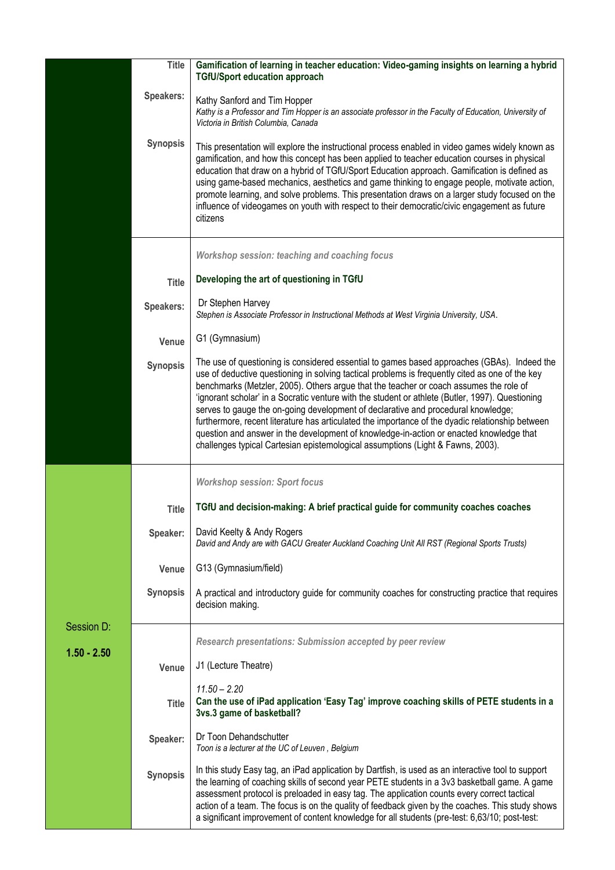|               | <b>Title</b>    | Gamification of learning in teacher education: Video-gaming insights on learning a hybrid<br><b>TGfU/Sport education approach</b>                                                                                                                                                                                                                                                                                                                                                                                                                                                                                                                                                                                                                                   |
|---------------|-----------------|---------------------------------------------------------------------------------------------------------------------------------------------------------------------------------------------------------------------------------------------------------------------------------------------------------------------------------------------------------------------------------------------------------------------------------------------------------------------------------------------------------------------------------------------------------------------------------------------------------------------------------------------------------------------------------------------------------------------------------------------------------------------|
|               | Speakers:       | Kathy Sanford and Tim Hopper<br>Kathy is a Professor and Tim Hopper is an associate professor in the Faculty of Education, University of<br>Victoria in British Columbia, Canada                                                                                                                                                                                                                                                                                                                                                                                                                                                                                                                                                                                    |
|               | <b>Synopsis</b> | This presentation will explore the instructional process enabled in video games widely known as<br>gamification, and how this concept has been applied to teacher education courses in physical<br>education that draw on a hybrid of TGfU/Sport Education approach. Gamification is defined as<br>using game-based mechanics, aesthetics and game thinking to engage people, motivate action,<br>promote learning, and solve problems. This presentation draws on a larger study focused on the<br>influence of videogames on youth with respect to their democratic/civic engagement as future<br>citizens                                                                                                                                                        |
|               |                 | Workshop session: teaching and coaching focus                                                                                                                                                                                                                                                                                                                                                                                                                                                                                                                                                                                                                                                                                                                       |
|               | <b>Title</b>    | Developing the art of questioning in TGfU                                                                                                                                                                                                                                                                                                                                                                                                                                                                                                                                                                                                                                                                                                                           |
|               | Speakers:       | Dr Stephen Harvey<br>Stephen is Associate Professor in Instructional Methods at West Virginia University, USA.                                                                                                                                                                                                                                                                                                                                                                                                                                                                                                                                                                                                                                                      |
|               | Venue           | G1 (Gymnasium)                                                                                                                                                                                                                                                                                                                                                                                                                                                                                                                                                                                                                                                                                                                                                      |
|               | <b>Synopsis</b> | The use of questioning is considered essential to games based approaches (GBAs). Indeed the<br>use of deductive questioning in solving tactical problems is frequently cited as one of the key<br>benchmarks (Metzler, 2005). Others argue that the teacher or coach assumes the role of<br>'ignorant scholar' in a Socratic venture with the student or athlete (Butler, 1997). Questioning<br>serves to gauge the on-going development of declarative and procedural knowledge;<br>furthermore, recent literature has articulated the importance of the dyadic relationship between<br>question and answer in the development of knowledge-in-action or enacted knowledge that<br>challenges typical Cartesian epistemological assumptions (Light & Fawns, 2003). |
|               |                 | <b>Workshop session: Sport focus</b>                                                                                                                                                                                                                                                                                                                                                                                                                                                                                                                                                                                                                                                                                                                                |
|               | <b>Title</b>    | TGfU and decision-making: A brief practical guide for community coaches coaches                                                                                                                                                                                                                                                                                                                                                                                                                                                                                                                                                                                                                                                                                     |
|               | Speaker:        | David Keelty & Andy Rogers<br>David and Andy are with GACU Greater Auckland Coaching Unit All RST (Regional Sports Trusts)                                                                                                                                                                                                                                                                                                                                                                                                                                                                                                                                                                                                                                          |
|               | Venue           | G13 (Gymnasium/field)                                                                                                                                                                                                                                                                                                                                                                                                                                                                                                                                                                                                                                                                                                                                               |
|               | <b>Synopsis</b> | A practical and introductory guide for community coaches for constructing practice that requires<br>decision making.                                                                                                                                                                                                                                                                                                                                                                                                                                                                                                                                                                                                                                                |
| Session D:    |                 | Research presentations: Submission accepted by peer review                                                                                                                                                                                                                                                                                                                                                                                                                                                                                                                                                                                                                                                                                                          |
| $1.50 - 2.50$ | Venue           | J1 (Lecture Theatre)                                                                                                                                                                                                                                                                                                                                                                                                                                                                                                                                                                                                                                                                                                                                                |
|               | <b>Title</b>    | $11.50 - 2.20$<br>Can the use of iPad application 'Easy Tag' improve coaching skills of PETE students in a<br>3vs.3 game of basketball?                                                                                                                                                                                                                                                                                                                                                                                                                                                                                                                                                                                                                             |
|               | Speaker:        | Dr Toon Dehandschutter<br>Toon is a lecturer at the UC of Leuven, Belgium                                                                                                                                                                                                                                                                                                                                                                                                                                                                                                                                                                                                                                                                                           |
|               | <b>Synopsis</b> | In this study Easy tag, an iPad application by Dartfish, is used as an interactive tool to support<br>the learning of coaching skills of second year PETE students in a 3v3 basketball game. A game<br>assessment protocol is preloaded in easy tag. The application counts every correct tactical<br>action of a team. The focus is on the quality of feedback given by the coaches. This study shows<br>a significant improvement of content knowledge for all students (pre-test: 6,63/10; post-test:                                                                                                                                                                                                                                                            |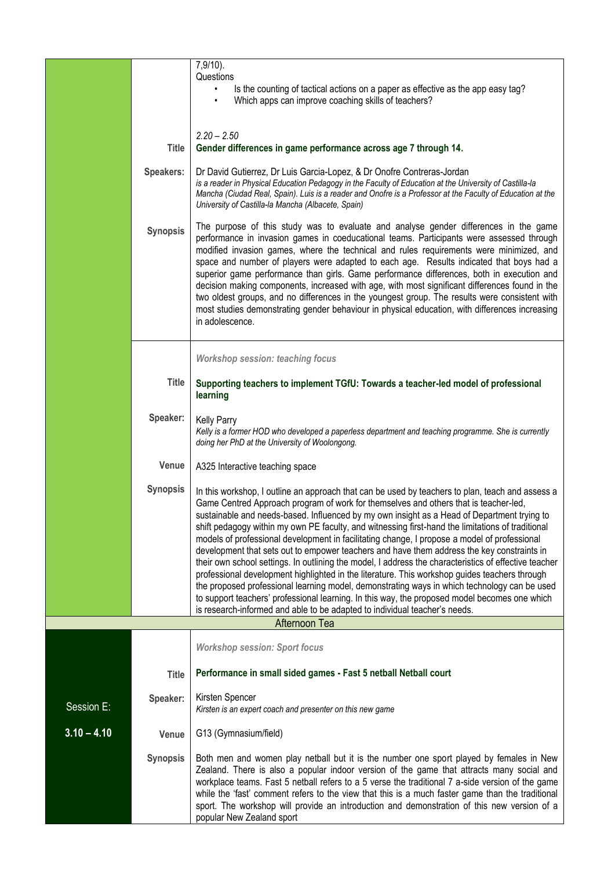|               |                 | $7,9/10$ ).<br>Questions                                                                                                                                                                                                                                                                                                                                                                                                                                                                                                                                                                                                                                                                                                                                                                                                                                                                                                                                                                                                                                                            |  |
|---------------|-----------------|-------------------------------------------------------------------------------------------------------------------------------------------------------------------------------------------------------------------------------------------------------------------------------------------------------------------------------------------------------------------------------------------------------------------------------------------------------------------------------------------------------------------------------------------------------------------------------------------------------------------------------------------------------------------------------------------------------------------------------------------------------------------------------------------------------------------------------------------------------------------------------------------------------------------------------------------------------------------------------------------------------------------------------------------------------------------------------------|--|
|               |                 | Is the counting of tactical actions on a paper as effective as the app easy tag?<br>Which apps can improve coaching skills of teachers?                                                                                                                                                                                                                                                                                                                                                                                                                                                                                                                                                                                                                                                                                                                                                                                                                                                                                                                                             |  |
|               |                 |                                                                                                                                                                                                                                                                                                                                                                                                                                                                                                                                                                                                                                                                                                                                                                                                                                                                                                                                                                                                                                                                                     |  |
|               |                 | $2.20 - 2.50$                                                                                                                                                                                                                                                                                                                                                                                                                                                                                                                                                                                                                                                                                                                                                                                                                                                                                                                                                                                                                                                                       |  |
|               | <b>Title</b>    | Gender differences in game performance across age 7 through 14.                                                                                                                                                                                                                                                                                                                                                                                                                                                                                                                                                                                                                                                                                                                                                                                                                                                                                                                                                                                                                     |  |
|               | Speakers:       | Dr David Gutierrez, Dr Luis Garcia-Lopez, & Dr Onofre Contreras-Jordan<br>is a reader in Physical Education Pedagogy in the Faculty of Education at the University of Castilla-la<br>Mancha (Ciudad Real, Spain). Luis is a reader and Onofre is a Professor at the Faculty of Education at the<br>University of Castilla-la Mancha (Albacete, Spain)                                                                                                                                                                                                                                                                                                                                                                                                                                                                                                                                                                                                                                                                                                                               |  |
|               | <b>Synopsis</b> | The purpose of this study was to evaluate and analyse gender differences in the game<br>performance in invasion games in coeducational teams. Participants were assessed through<br>modified invasion games, where the technical and rules requirements were minimized, and<br>space and number of players were adapted to each age. Results indicated that boys had a<br>superior game performance than girls. Game performance differences, both in execution and<br>decision making components, increased with age, with most significant differences found in the<br>two oldest groups, and no differences in the youngest group. The results were consistent with<br>most studies demonstrating gender behaviour in physical education, with differences increasing<br>in adolescence.                                                                                                                                                                                                                                                                                         |  |
|               |                 | <b>Workshop session: teaching focus</b>                                                                                                                                                                                                                                                                                                                                                                                                                                                                                                                                                                                                                                                                                                                                                                                                                                                                                                                                                                                                                                             |  |
|               | <b>Title</b>    | Supporting teachers to implement TGfU: Towards a teacher-led model of professional<br>learning                                                                                                                                                                                                                                                                                                                                                                                                                                                                                                                                                                                                                                                                                                                                                                                                                                                                                                                                                                                      |  |
|               | Speaker:        | <b>Kelly Parry</b><br>Kelly is a former HOD who developed a paperless department and teaching programme. She is currently<br>doing her PhD at the University of Woolongong.                                                                                                                                                                                                                                                                                                                                                                                                                                                                                                                                                                                                                                                                                                                                                                                                                                                                                                         |  |
|               | Venue           | A325 Interactive teaching space                                                                                                                                                                                                                                                                                                                                                                                                                                                                                                                                                                                                                                                                                                                                                                                                                                                                                                                                                                                                                                                     |  |
|               | <b>Synopsis</b> | In this workshop, I outline an approach that can be used by teachers to plan, teach and assess a<br>Game Centred Approach program of work for themselves and others that is teacher-led,<br>sustainable and needs-based. Influenced by my own insight as a Head of Department trying to<br>shift pedagogy within my own PE faculty, and witnessing first-hand the limitations of traditional<br>models of professional development in facilitating change, I propose a model of professional<br>development that sets out to empower teachers and have them address the key constraints in<br>their own school settings. In outlining the model, I address the characteristics of effective teacher<br>professional development highlighted in the literature. This workshop guides teachers through<br>the proposed professional learning model, demonstrating ways in which technology can be used<br>to support teachers' professional learning. In this way, the proposed model becomes one which<br>is research-informed and able to be adapted to individual teacher's needs. |  |
|               |                 | Afternoon Tea                                                                                                                                                                                                                                                                                                                                                                                                                                                                                                                                                                                                                                                                                                                                                                                                                                                                                                                                                                                                                                                                       |  |
|               |                 | <b>Workshop session: Sport focus</b>                                                                                                                                                                                                                                                                                                                                                                                                                                                                                                                                                                                                                                                                                                                                                                                                                                                                                                                                                                                                                                                |  |
|               | <b>Title</b>    | Performance in small sided games - Fast 5 netball Netball court                                                                                                                                                                                                                                                                                                                                                                                                                                                                                                                                                                                                                                                                                                                                                                                                                                                                                                                                                                                                                     |  |
| Session E:    | Speaker:        | Kirsten Spencer<br>Kirsten is an expert coach and presenter on this new game                                                                                                                                                                                                                                                                                                                                                                                                                                                                                                                                                                                                                                                                                                                                                                                                                                                                                                                                                                                                        |  |
| $3.10 - 4.10$ | Venue           | G13 (Gymnasium/field)                                                                                                                                                                                                                                                                                                                                                                                                                                                                                                                                                                                                                                                                                                                                                                                                                                                                                                                                                                                                                                                               |  |
|               | <b>Synopsis</b> | Both men and women play netball but it is the number one sport played by females in New<br>Zealand. There is also a popular indoor version of the game that attracts many social and<br>workplace teams. Fast 5 netball refers to a 5 verse the traditional 7 a-side version of the game<br>while the 'fast' comment refers to the view that this is a much faster game than the traditional<br>sport. The workshop will provide an introduction and demonstration of this new version of a<br>popular New Zealand sport                                                                                                                                                                                                                                                                                                                                                                                                                                                                                                                                                            |  |